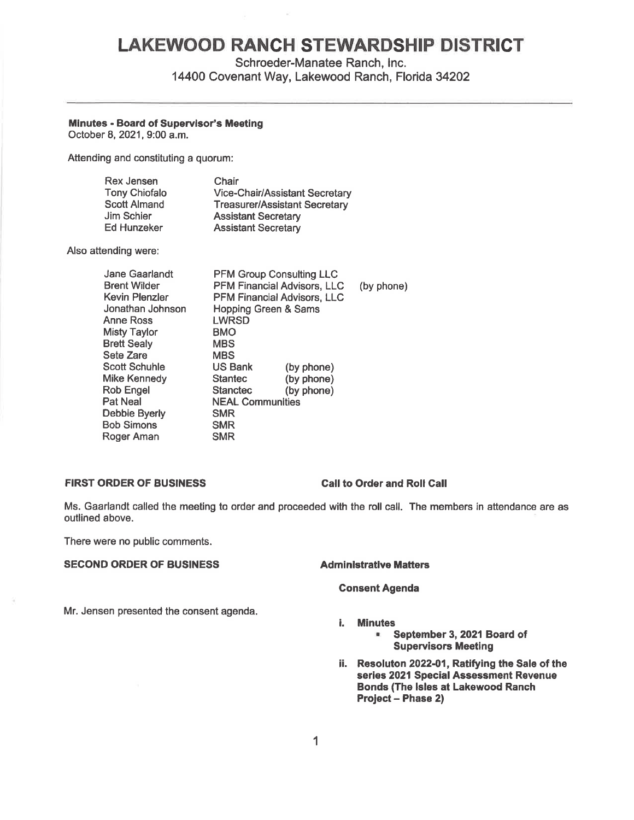# **LAKEWOOD RANCH STEWARDSHIP DISTRICT**

Schroeder-Manatee Ranch, Inc.

14400 Covenant Way, Lakewood Ranch, Florida 34202

## **Minutes** - **Board of Supervisor's Meeting**

October 8, 2021, 9:00 a.m.

Attending and constituting a quorum:

| Rex Jensen           | Chair                                 |
|----------------------|---------------------------------------|
| <b>Tony Chiofalo</b> | <b>Vice-Chair/Assistant Secretary</b> |
| <b>Scott Almand</b>  | <b>Treasurer/Assistant Secretary</b>  |
| Jim Schier           | <b>Assistant Secretary</b>            |
| <b>Ed Hunzeker</b>   | <b>Assistant Secretary</b>            |

Also attending were:

| <b>Jane Gaarlandt</b><br><b>Brent Wilder</b> | <b>PFM Group Consulting LLC</b><br><b>PFM Financial Advisors, LLC</b> |            |            |
|----------------------------------------------|-----------------------------------------------------------------------|------------|------------|
|                                              |                                                                       |            | (by phone) |
| Kevin Plenzler                               | <b>PFM Financial Advisors, LLC</b>                                    |            |            |
| Jonathan Johnson                             | <b>Hopping Green &amp; Sams</b>                                       |            |            |
| Anne Ross                                    | LWRSD                                                                 |            |            |
| <b>Misty Taylor</b>                          | <b>BMO</b>                                                            |            |            |
| <b>Brett Sealy</b>                           | <b>MBS</b>                                                            |            |            |
| Sete Zare                                    | <b>MBS</b>                                                            |            |            |
| Scott Schuhle                                | <b>US Bank</b>                                                        | (by phone) |            |
| Mike Kennedv                                 | <b>Stantec</b>                                                        | (by phone) |            |
| <b>Rob Engel</b>                             | <b>Stanctec</b>                                                       | (by phone) |            |
| Pat Neal                                     | <b>NEAL Communities</b>                                               |            |            |
| Debbie Byerly                                | <b>SMR</b>                                                            |            |            |
| Bob Simons                                   | <b>SMR</b>                                                            |            |            |
| Roger Aman                                   | <b>SMR</b>                                                            |            |            |

### **FIRST ORDER OF BUSINESS Call to Order and Roll Call**

Ms. Gaarlandt called the meeting to order and proceeded with the roll call. The members in attendance are as outlined above.

There were no public comments.

# **SECOND ORDER OF BUSINESS Administrative Matters**

## **Consent Agenda**

Mr. Jensen presented the consent agenda.

### i. **Minutes**

• **September 3, 2021 Board of Supervisors Meeting** 

ii. **Resoluton 2022-01, Ratifying the Sale of the series 2021 Special Assessment Revenue Bonds (The Isles at Lakewood Ranch Project** - **Phase 2)**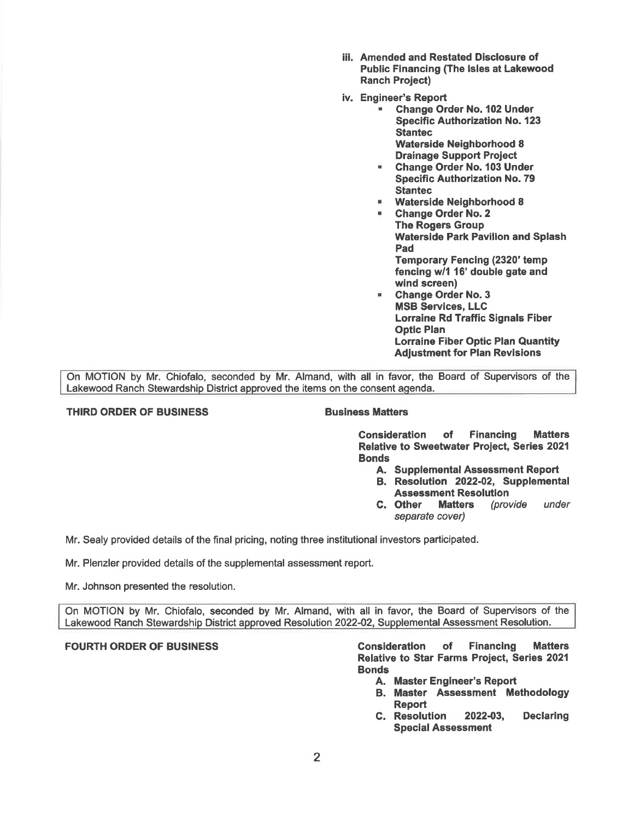- iii. Amended and Restated Disclosure of Public Financing (The Isles at Lakewood Ranch Project)
- iv. Engineer's Report
	- Change Order No. 102 Under Specific Authorization No. 123 Stantec Waterside Neighborhood 8 Drainage Support Project
		- Change Order No. 103 Under Specific Authorization No. 79 **Stantec**
	- Waterside Neighborhood 8
	- Change Order No. 2 The Rogers Group Waterside Park Pavilion and Splash Pad Temporary Fencing (2320' temp fencing w/1 16' double gate and wind screen)
	- Change Order No. 3 MSB Services, LLC Lorraine Rd Traffic Signals Fiber Optic Plan Lorraine Fiber Optic Plan Quantity Adjustment for Plan Revisions

On MOTION by Mr. Chiofalo, seconded by Mr. Almand, with all in favor, the Board of Supervisors of the Lakewood Ranch Stewardship District approved the items on the consent agenda.

# **THIRD ORDER OF BUSINESS**  BUSINESS **BUSINESS**

Consideration of Financing Matters Relative to Sweetwater Project, Series 2021 **Bonds** 

- A. Supplemental Assessment Report
- B. Resolution 2022-02, Supplemental **Assessment Resolution<br>Other Matters** (provide
- C. Other Matters (provide under separate cover)

Mr. Sealy provided details of the final pricing, noting three institutional investors participated.

Mr. Plenzler provided details of the supplemental assessment report.

Mr. Johnson presented the resolution.

On MOTION by Mr. Chiofalo, seconded by Mr. Almand, with all in favor, the Board of Supervisors of the Lakewood Ranch Stewardship District approved Resolution 2022-02, Supplemental Assessment Resolution.

FOURTH ORDER OF **BUSINESS** Consideration of Financing Matters Relative to Star Farms Project, Series 2021 Bonds

- A. Master Engineer's Report
- B. Master Assessment Methodology Report
- C. Resolution 2022-03, Declaring Special Assessment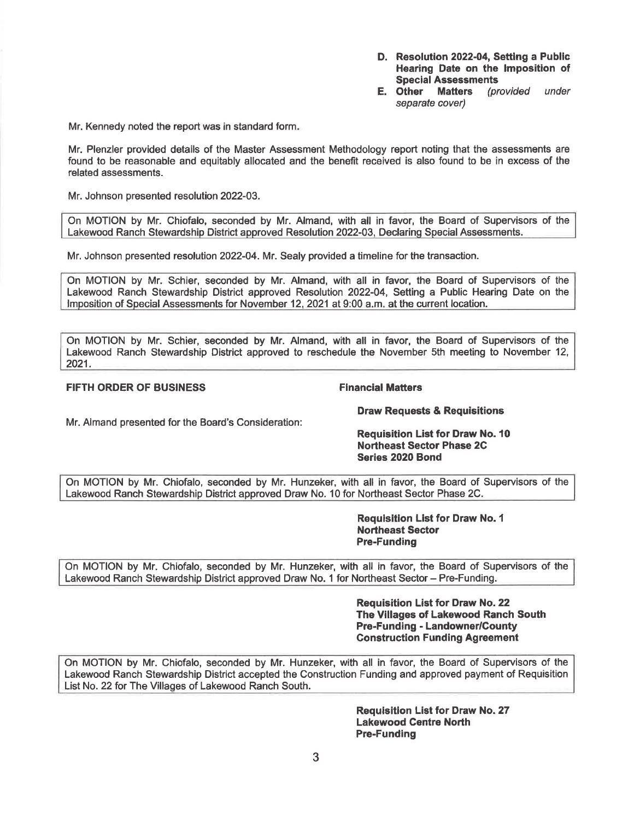- **D. Resolution 2022-04, Setting a Public Hearing Date on the Imposition of Special Assessments**<br>**E.** Other Matters (pr
- **Matters** (provided under separate cover)

Mr. Kennedy noted the report was in standard form.

Mr. Plenzler provided details of the Master Assessment Methodology report noting that the assessments are found to be reasonable and equitably allocated and the benefit received is also found to be in excess of the related assessments.

Mr. Johnson presented resolution 2022-03.

On MOTION by Mr. Chiofalo, seconded by Mr. Almand, with all in favor, the Board of Supervisors of the Lakewood Ranch Stewardship District approved Resolution 2022-03, Declaring Special Assessments.

Mr. Johnson presented resolution 2022-04. Mr. Sealy provided a timeline for the transaction.

On MOTION by Mr. Schier, seconded by Mr. Almand, with all in favor, the Board of Supervisors of the Lakewood Ranch Stewardship District approved Resolution 2022-04, Setting a Public Hearing Date on the Imposition of Special Assessments for November 12, 2021 at 9:00 a.m. at the current location.

On MOTION by Mr. Schier, seconded by Mr. Almand, with all in favor, the Board of Supervisors of the Lakewood Ranch Stewardship District approved to reschedule the November 5th meeting to November 12, 2021.

# **FIFTH ORDER OF BUSINESS** FINANCIAL FINANCIAL Matters

Mr. Almand presented for the Board's Consideration:

**Draw Requests** & **Requisitions** 

**Requisition List for Draw No.10 Northeast Sector Phase 2C Series 2020 Bond** 

On MOTION by Mr. Chiofalo, seconded by Mr. Hunzeker, with all in favor, the Board of Supervisors of the Lakewood Ranch Stewardship District approved Draw No. 10 for Northeast Sector Phase 2C.

> **Requisition List for Draw No. 1 Northeast Sector Pre-Funding**

On MOTION by Mr. Chiofalo, seconded by Mr. Hunzeker, with all in favor, the Board of Supervisors of the Lakewood Ranch Stewardship District approved Draw No. 1 for Northeast Sector - Pre-Funding.

> **Requisition List for Draw No. 22 The Villages of Lakewood Ranch South Pre-Funding** - **Landowner/County Construction Funding Agreement**

On MOTION by Mr. Chiofalo, seconded by Mr. Hunzeker, with all in favor, the Board of Supervisors of the Lakewood Ranch Stewardship District accepted the Construction Funding and approved payment of Requisition List No. 22 for The Villages of Lakewood Ranch South.

> **Requisition List for Draw No. 27 Lakewood Centre North Pre-Funding**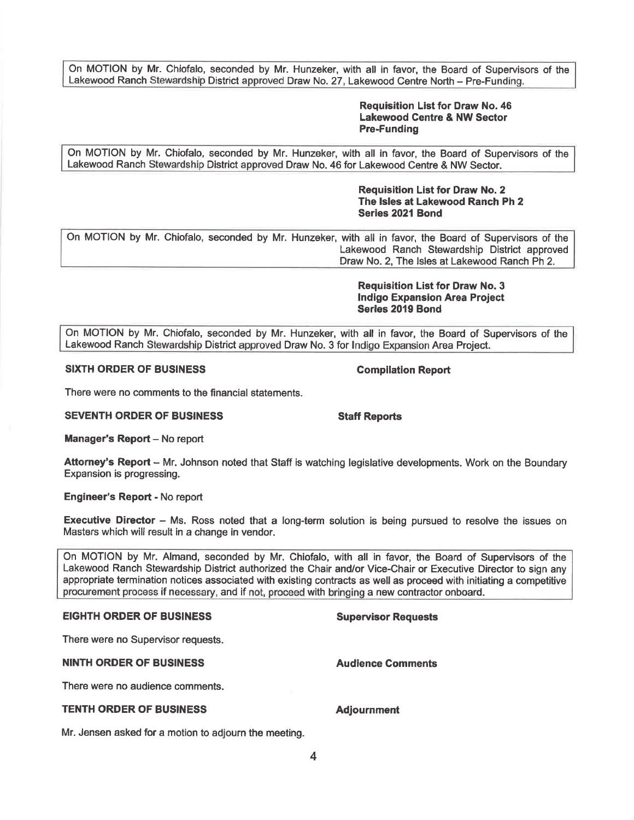On MOTION by Mr. Chiofalo, seconded by Mr. Hunzeker, with all in favor, the Board of Supervisors of the Lakewood Ranch Stewardship District approved Draw No. 27, Lakewood Centre North - Pre-Funding.

### **Requisition List for Draw No. 46 Lakewood Centre** & **NW Sector Pre-Funding**

On MOTION by Mr. Chiofalo, seconded by Mr. Hunzeker, with all in favor, the Board of Supervisors of the Lakewood Ranch Stewardship District approved Draw No. 46 for Lakewood Centre & NW Sector.

> **Requisition List for Draw No. 2 The Isles at Lakewood Ranch Ph 2 Series 2021 Bond**

On MOTION by Mr. Chiofalo, seconded by Mr. Hunzeker, with all in favor, the Board of Supervisors of the Lakewood Ranch Stewardship District approved Draw No. 2, The Isles at Lakewood Ranch Ph 2.

> **Requisition List for Draw No. 3 Indigo Expansion Area Project Serles 2019 Bond**

On MOTION by Mr. Chiofalo, seconded by Mr. Hunzeker, with all in favor, the Board of Supervisors of the Lakewood Ranch Stewardship District approved Draw No. 3 for Indigo Expansion Area Project.

### **SIXTH ORDER OF BUSINESS** Compilation Report

There were no comments to the financial statements.

**SEVENTH ORDER OF BUSINESS STATES STAFF Reports** 

**Manager's Report - No report** 

**Attorney's Report** - Mr. Johnson noted that Staff is watching legislative developments. Work on the Boundary Expansion is progressing.

**Engineer's Report** - No report

**Executive Director** – Ms. Ross noted that a long-term solution is being pursued to resolve the issues on Masters which will result in a change in vendor.

On MOTION by Mr. Almand, seconded by Mr. Chiofalo, with all in favor, the Board of Supervisors of the Lakewood Ranch Stewardship District authorized the Chair and/or Vice-Chair or Executive Director to sign any appropriate termination notices associated with existing contracts as well as proceed with initiating a competitive procurement process if necessary, and if not, proceed with bringing a new contractor onboard.

## **EIGHTH ORDER OF BUSINESS Supervisor Requests**

There were no Supervisor requests.

### **NINTH ORDER OF BUSINESS Audience Comments**

There were no audience comments.

# **TENTH ORDER OF BUSINESS Adjournment**

Mr. Jensen asked for a motion to adjourn the meeting.